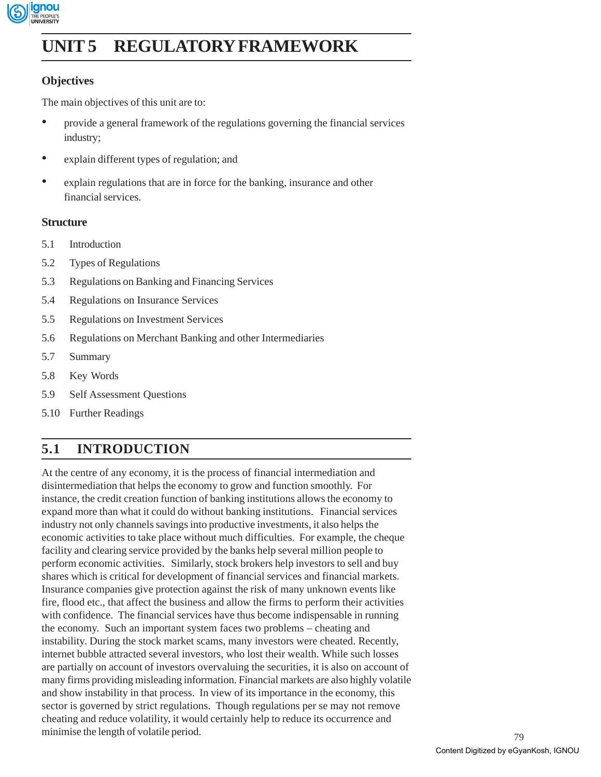

# **UNIT 5 REGULATORY FRAMEWORK**

### **Objectives**

The main objectives of this unit are to:

- provide a general framework of the regulations governing the financial services industry;
- explain different types of regulation; and
- explain regulations that are in force for the banking, insurance and other financial services.

### **Structure**

- 5.1 Introduction
- 5.2 Types of Regulations
- 5.3 Regulations on Banking and Financing Services
- 5.4 Regulations on Insurance Services
- 5.5 Regulations on Investment Services
- 5.6 Regulations on Merchant Banking and other Intermediaries
- 5.7 Summary
- 5.8 Key Words
- 5.9 Self Assessment Questions
- 5.10 Further Readings

## **5.1 INTRODUCTION**

At the centre of any economy, it is the process of financial intermediation and disintermediation that helps the economy to grow and function smoothly. For instance, the credit creation function of banking institutions allows the economy to expand more than what it could do without banking institutions. Financial services industry not only channels savings into productive investments, it also helps the economic activities to take place without much difficulties. For example, the cheque facility and clearing service provided by the banks help several million people to perform economic activities. Similarly, stock brokers help investors to sell and buy shares which is critical for development of financial services and financial markets. Insurance companies give protection against the risk of many unknown events like fire, flood etc., that affect the business and allow the firms to perform their activities with confidence. The financial services have thus become indispensable in running the economy. Such an important system faces two problems – cheating and instability. During the stock market scams, many investors were cheated. Recently, internet bubble attracted several investors, who lost their wealth. While such losses are partially on account of investors overvaluing the securities, it is also on account of many firms providing misleading information. Financial markets are also highly volatile and show instability in that process. In view of its importance in the economy, this sector is governed by strict regulations. Though regulations per se may not remove cheating and reduce volatility, it would certainly help to reduce its occurrence and minimise the length of volatile period.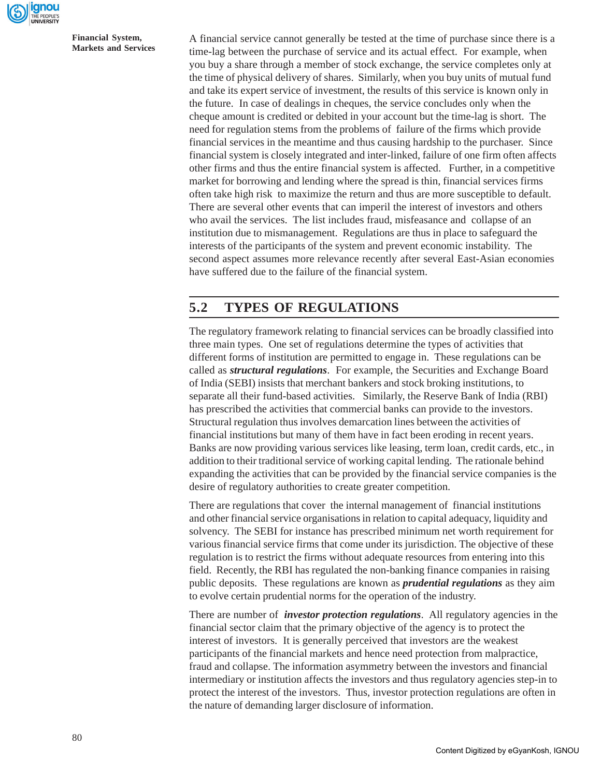

A financial service cannot generally be tested at the time of purchase since there is a time-lag between the purchase of service and its actual effect. For example, when you buy a share through a member of stock exchange, the service completes only at the time of physical delivery of shares. Similarly, when you buy units of mutual fund and take its expert service of investment, the results of this service is known only in the future. In case of dealings in cheques, the service concludes only when the cheque amount is credited or debited in your account but the time-lag is short. The need for regulation stems from the problems of failure of the firms which provide financial services in the meantime and thus causing hardship to the purchaser. Since financial system is closely integrated and inter-linked, failure of one firm often affects other firms and thus the entire financial system is affected. Further, in a competitive market for borrowing and lending where the spread is thin, financial services firms often take high risk to maximize the return and thus are more susceptible to default. There are several other events that can imperil the interest of investors and others who avail the services. The list includes fraud, misfeasance and collapse of an institution due to mismanagement. Regulations are thus in place to safeguard the interests of the participants of the system and prevent economic instability. The second aspect assumes more relevance recently after several East-Asian economies have suffered due to the failure of the financial system.

### **5.2 TYPES OF REGULATIONS**

The regulatory framework relating to financial services can be broadly classified into three main types. One set of regulations determine the types of activities that different forms of institution are permitted to engage in. These regulations can be called as *structural regulations*. For example, the Securities and Exchange Board of India (SEBI) insists that merchant bankers and stock broking institutions, to separate all their fund-based activities. Similarly, the Reserve Bank of India (RBI) has prescribed the activities that commercial banks can provide to the investors. Structural regulation thus involves demarcation lines between the activities of financial institutions but many of them have in fact been eroding in recent years. Banks are now providing various services like leasing, term loan, credit cards, etc., in addition to their traditional service of working capital lending. The rationale behind expanding the activities that can be provided by the financial service companies is the desire of regulatory authorities to create greater competition.

There are regulations that cover the internal management of financial institutions and other financial service organisations in relation to capital adequacy, liquidity and solvency. The SEBI for instance has prescribed minimum net worth requirement for various financial service firms that come under its jurisdiction. The objective of these regulation is to restrict the firms without adequate resources from entering into this field. Recently, the RBI has regulated the non-banking finance companies in raising public deposits. These regulations are known as *prudential regulations* as they aim to evolve certain prudential norms for the operation of the industry.

There are number of *investor protection regulations*. All regulatory agencies in the financial sector claim that the primary objective of the agency is to protect the interest of investors. It is generally perceived that investors are the weakest participants of the financial markets and hence need protection from malpractice, fraud and collapse. The information asymmetry between the investors and financial intermediary or institution affects the investors and thus regulatory agencies step-in to protect the interest of the investors. Thus, investor protection regulations are often in the nature of demanding larger disclosure of information.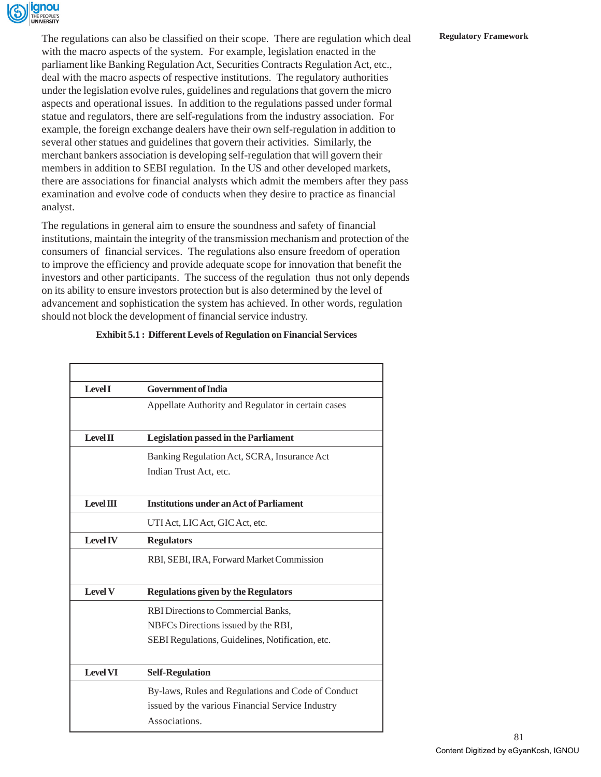

The regulations can also be classified on their scope. There are regulation which deal **Regulatory Framework** with the macro aspects of the system. For example, legislation enacted in the parliament like Banking Regulation Act, Securities Contracts Regulation Act, etc., deal with the macro aspects of respective institutions. The regulatory authorities under the legislation evolve rules, guidelines and regulations that govern the micro aspects and operational issues. In addition to the regulations passed under formal statue and regulators, there are self-regulations from the industry association. For example, the foreign exchange dealers have their own self-regulation in addition to several other statues and guidelines that govern their activities. Similarly, the merchant bankers association is developing self-regulation that will govern their members in addition to SEBI regulation. In the US and other developed markets, there are associations for financial analysts which admit the members after they pass examination and evolve code of conducts when they desire to practice as financial analyst.

The regulations in general aim to ensure the soundness and safety of financial institutions, maintain the integrity of the transmission mechanism and protection of the consumers of financial services. The regulations also ensure freedom of operation to improve the efficiency and provide adequate scope for innovation that benefit the investors and other participants. The success of the regulation thus not only depends on its ability to ensure investors protection but is also determined by the level of advancement and sophistication the system has achieved. In other words, regulation should not block the development of financial service industry.

| <b>Level I</b>   | <b>Government of India</b>                         |  |  |
|------------------|----------------------------------------------------|--|--|
|                  | Appellate Authority and Regulator in certain cases |  |  |
| Level II         | <b>Legislation passed in the Parliament</b>        |  |  |
|                  | Banking Regulation Act, SCRA, Insurance Act        |  |  |
|                  | Indian Trust Act, etc.                             |  |  |
| <b>Level III</b> | <b>Institutions under an Act of Parliament</b>     |  |  |
|                  | UTI Act, LIC Act, GIC Act, etc.                    |  |  |
| <b>Level IV</b>  | <b>Regulators</b>                                  |  |  |
|                  | RBI, SEBI, IRA, Forward Market Commission          |  |  |
| <b>Level V</b>   | <b>Regulations given by the Regulators</b>         |  |  |
|                  | RBI Directions to Commercial Banks,                |  |  |
|                  | NBFCs Directions issued by the RBI,                |  |  |
|                  | SEBI Regulations, Guidelines, Notification, etc.   |  |  |
| <b>Level VI</b>  | <b>Self-Regulation</b>                             |  |  |
|                  | By-laws, Rules and Regulations and Code of Conduct |  |  |
|                  | issued by the various Financial Service Industry   |  |  |
|                  | Associations.                                      |  |  |

#### **Exhibit 5.1 : Different Levels of Regulation on Financial Services**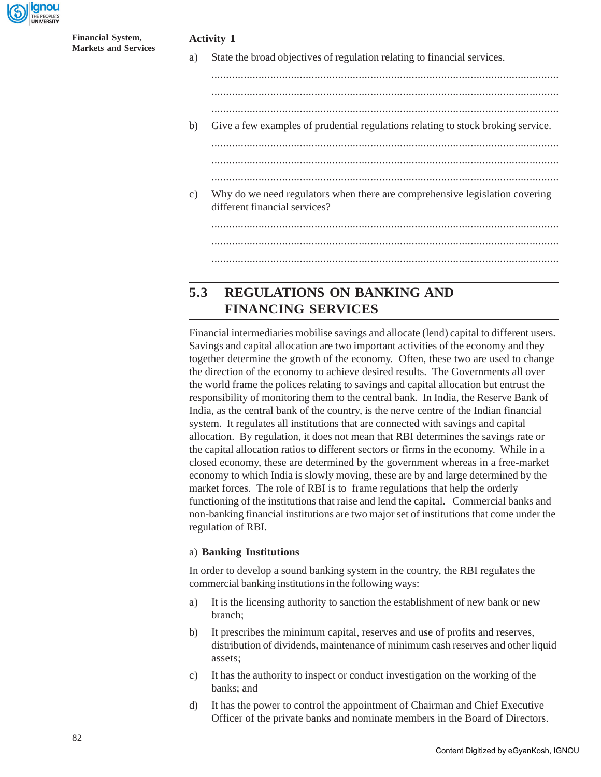

| <b>Financial System,</b> |  |
|--------------------------|--|
| Markets and Services     |  |

#### **Activity 1**

a) State the broad objectives of regulation relating to financial services.

......................................................................................................................

......................................................................................................................

b) Give a few examples of prudential regulations relating to stock broking service. ......................................................................................................................

......................................................................................................................

......................................................................................................................

c) Why do we need regulators when there are comprehensive legislation covering different financial services?

### **5.3 REGULATIONS ON BANKING AND FINANCING SERVICES**

Financial intermediaries mobilise savings and allocate (lend) capital to different users. Savings and capital allocation are two important activities of the economy and they together determine the growth of the economy. Often, these two are used to change the direction of the economy to achieve desired results. The Governments all over the world frame the polices relating to savings and capital allocation but entrust the responsibility of monitoring them to the central bank. In India, the Reserve Bank of India, as the central bank of the country, is the nerve centre of the Indian financial system. It regulates all institutions that are connected with savings and capital allocation. By regulation, it does not mean that RBI determines the savings rate or the capital allocation ratios to different sectors or firms in the economy. While in a closed economy, these are determined by the government whereas in a free-market economy to which India is slowly moving, these are by and large determined by the market forces. The role of RBI is to frame regulations that help the orderly functioning of the institutions that raise and lend the capital. Commercial banks and non-banking financial institutions are two major set of institutions that come under the regulation of RBI.

#### a) **Banking Institutions**

In order to develop a sound banking system in the country, the RBI regulates the commercial banking institutions in the following ways:

- a) It is the licensing authority to sanction the establishment of new bank or new branch;
- b) It prescribes the minimum capital, reserves and use of profits and reserves, distribution of dividends, maintenance of minimum cash reserves and other liquid assets;
- c) It has the authority to inspect or conduct investigation on the working of the banks; and
- d) It has the power to control the appointment of Chairman and Chief Executive Officer of the private banks and nominate members in the Board of Directors.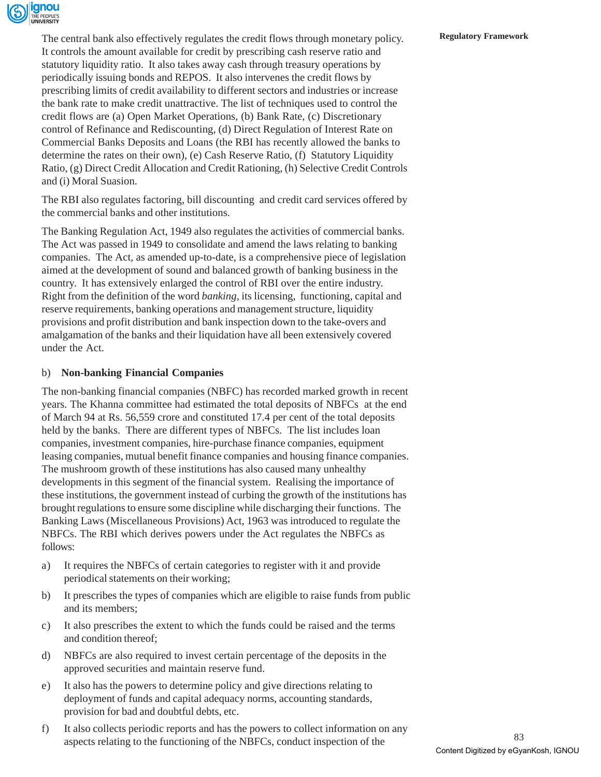

The central bank also effectively regulates the credit flows through monetary policy. **Regulatory Framework** It controls the amount available for credit by prescribing cash reserve ratio and statutory liquidity ratio. It also takes away cash through treasury operations by periodically issuing bonds and REPOS. It also intervenes the credit flows by prescribing limits of credit availability to different sectors and industries or increase the bank rate to make credit unattractive. The list of techniques used to control the credit flows are (a) Open Market Operations, (b) Bank Rate, (c) Discretionary control of Refinance and Rediscounting, (d) Direct Regulation of Interest Rate on Commercial Banks Deposits and Loans (the RBI has recently allowed the banks to determine the rates on their own), (e) Cash Reserve Ratio, (f) Statutory Liquidity Ratio, (g) Direct Credit Allocation and Credit Rationing, (h) Selective Credit Controls and (i) Moral Suasion.

The RBI also regulates factoring, bill discounting and credit card services offered by the commercial banks and other institutions.

The Banking Regulation Act, 1949 also regulates the activities of commercial banks. The Act was passed in 1949 to consolidate and amend the laws relating to banking companies. The Act, as amended up-to-date, is a comprehensive piece of legislation aimed at the development of sound and balanced growth of banking business in the country. It has extensively enlarged the control of RBI over the entire industry. Right from the definition of the word *banking*, its licensing, functioning, capital and reserve requirements, banking operations and management structure, liquidity provisions and profit distribution and bank inspection down to the take-overs and amalgamation of the banks and their liquidation have all been extensively covered under the Act.

#### b) **Non-banking Financial Companies**

The non-banking financial companies (NBFC) has recorded marked growth in recent years. The Khanna committee had estimated the total deposits of NBFCs at the end of March 94 at Rs. 56,559 crore and constituted 17.4 per cent of the total deposits held by the banks. There are different types of NBFCs. The list includes loan companies, investment companies, hire-purchase finance companies, equipment leasing companies, mutual benefit finance companies and housing finance companies. The mushroom growth of these institutions has also caused many unhealthy developments in this segment of the financial system. Realising the importance of these institutions, the government instead of curbing the growth of the institutions has brought regulations to ensure some discipline while discharging their functions. The Banking Laws (Miscellaneous Provisions) Act, 1963 was introduced to regulate the NBFCs. The RBI which derives powers under the Act regulates the NBFCs as follows:

- a) It requires the NBFCs of certain categories to register with it and provide periodical statements on their working;
- b) It prescribes the types of companies which are eligible to raise funds from public and its members;
- c) It also prescribes the extent to which the funds could be raised and the terms and condition thereof;
- d) NBFCs are also required to invest certain percentage of the deposits in the approved securities and maintain reserve fund.
- e) It also has the powers to determine policy and give directions relating to deployment of funds and capital adequacy norms, accounting standards, provision for bad and doubtful debts, etc.
- f) It also collects periodic reports and has the powers to collect information on any aspects relating to the functioning of the NBFCs, conduct inspection of the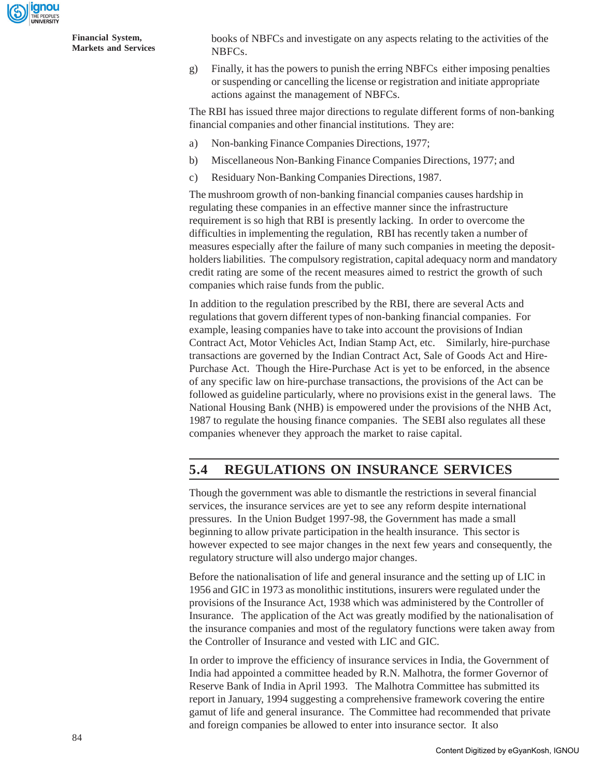

books of NBFCs and investigate on any aspects relating to the activities of the NBFCs.

g) Finally, it has the powers to punish the erring NBFCs either imposing penalties or suspending or cancelling the license or registration and initiate appropriate actions against the management of NBFCs.

The RBI has issued three major directions to regulate different forms of non-banking financial companies and other financial institutions. They are:

- a) Non-banking Finance Companies Directions, 1977;
- b) Miscellaneous Non-Banking Finance Companies Directions, 1977; and
- c) Residuary Non-Banking Companies Directions, 1987.

The mushroom growth of non-banking financial companies causes hardship in regulating these companies in an effective manner since the infrastructure requirement is so high that RBI is presently lacking. In order to overcome the difficulties in implementing the regulation, RBI has recently taken a number of measures especially after the failure of many such companies in meeting the depositholders liabilities. The compulsory registration, capital adequacy norm and mandatory credit rating are some of the recent measures aimed to restrict the growth of such companies which raise funds from the public.

In addition to the regulation prescribed by the RBI, there are several Acts and regulations that govern different types of non-banking financial companies. For example, leasing companies have to take into account the provisions of Indian Contract Act, Motor Vehicles Act, Indian Stamp Act, etc. Similarly, hire-purchase transactions are governed by the Indian Contract Act, Sale of Goods Act and Hire-Purchase Act. Though the Hire-Purchase Act is yet to be enforced, in the absence of any specific law on hire-purchase transactions, the provisions of the Act can be followed as guideline particularly, where no provisions exist in the general laws. The National Housing Bank (NHB) is empowered under the provisions of the NHB Act, 1987 to regulate the housing finance companies. The SEBI also regulates all these companies whenever they approach the market to raise capital.

### **5.4 REGULATIONS ON INSURANCE SERVICES**

Though the government was able to dismantle the restrictions in several financial services, the insurance services are yet to see any reform despite international pressures. In the Union Budget 1997-98, the Government has made a small beginning to allow private participation in the health insurance. This sector is however expected to see major changes in the next few years and consequently, the regulatory structure will also undergo major changes.

Before the nationalisation of life and general insurance and the setting up of LIC in 1956 and GIC in 1973 as monolithic institutions, insurers were regulated under the provisions of the Insurance Act, 1938 which was administered by the Controller of Insurance. The application of the Act was greatly modified by the nationalisation of the insurance companies and most of the regulatory functions were taken away from the Controller of Insurance and vested with LIC and GIC.

In order to improve the efficiency of insurance services in India, the Government of India had appointed a committee headed by R.N. Malhotra, the former Governor of Reserve Bank of India in April 1993. The Malhotra Committee has submitted its report in January, 1994 suggesting a comprehensive framework covering the entire gamut of life and general insurance. The Committee had recommended that private and foreign companies be allowed to enter into insurance sector. It also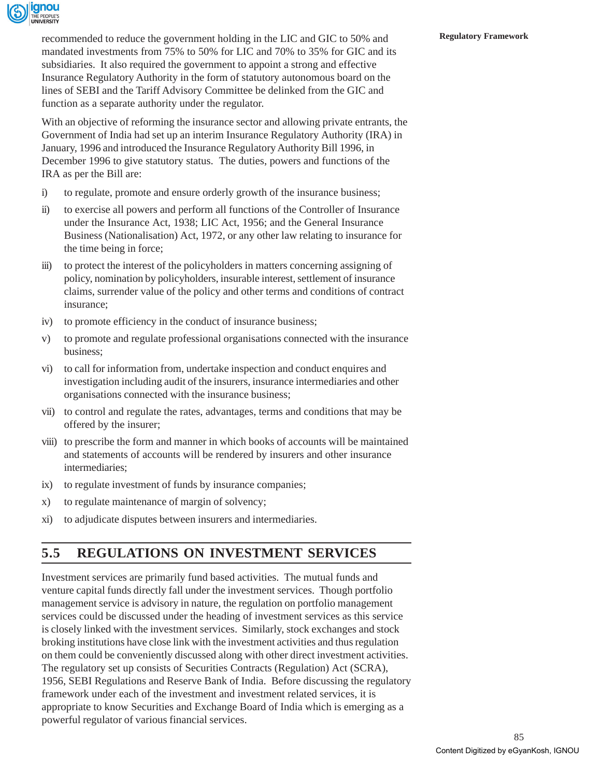

**Regulatory Framework** recommended to reduce the government holding in the LIC and GIC to 50% and mandated investments from 75% to 50% for LIC and 70% to 35% for GIC and its subsidiaries. It also required the government to appoint a strong and effective Insurance Regulatory Authority in the form of statutory autonomous board on the lines of SEBI and the Tariff Advisory Committee be delinked from the GIC and function as a separate authority under the regulator.

With an objective of reforming the insurance sector and allowing private entrants, the Government of India had set up an interim Insurance Regulatory Authority (IRA) in January, 1996 and introduced the Insurance Regulatory Authority Bill 1996, in December 1996 to give statutory status. The duties, powers and functions of the IRA as per the Bill are:

- i) to regulate, promote and ensure orderly growth of the insurance business;
- ii) to exercise all powers and perform all functions of the Controller of Insurance under the Insurance Act, 1938; LIC Act, 1956; and the General Insurance Business (Nationalisation) Act, 1972, or any other law relating to insurance for the time being in force;
- iii) to protect the interest of the policyholders in matters concerning assigning of policy, nomination by policyholders, insurable interest, settlement of insurance claims, surrender value of the policy and other terms and conditions of contract insurance;
- iv) to promote efficiency in the conduct of insurance business;
- v) to promote and regulate professional organisations connected with the insurance business;
- vi) to call for information from, undertake inspection and conduct enquires and investigation including audit of the insurers, insurance intermediaries and other organisations connected with the insurance business;
- vii) to control and regulate the rates, advantages, terms and conditions that may be offered by the insurer;
- viii) to prescribe the form and manner in which books of accounts will be maintained and statements of accounts will be rendered by insurers and other insurance intermediaries;
- ix) to regulate investment of funds by insurance companies;
- x) to regulate maintenance of margin of solvency;
- xi) to adjudicate disputes between insurers and intermediaries.

### **5.5 REGULATIONS ON INVESTMENT SERVICES**

Investment services are primarily fund based activities. The mutual funds and venture capital funds directly fall under the investment services. Though portfolio management service is advisory in nature, the regulation on portfolio management services could be discussed under the heading of investment services as this service is closely linked with the investment services. Similarly, stock exchanges and stock broking institutions have close link with the investment activities and thus regulation on them could be conveniently discussed along with other direct investment activities. The regulatory set up consists of Securities Contracts (Regulation) Act (SCRA), 1956, SEBI Regulations and Reserve Bank of India. Before discussing the regulatory framework under each of the investment and investment related services, it is appropriate to know Securities and Exchange Board of India which is emerging as a powerful regulator of various financial services.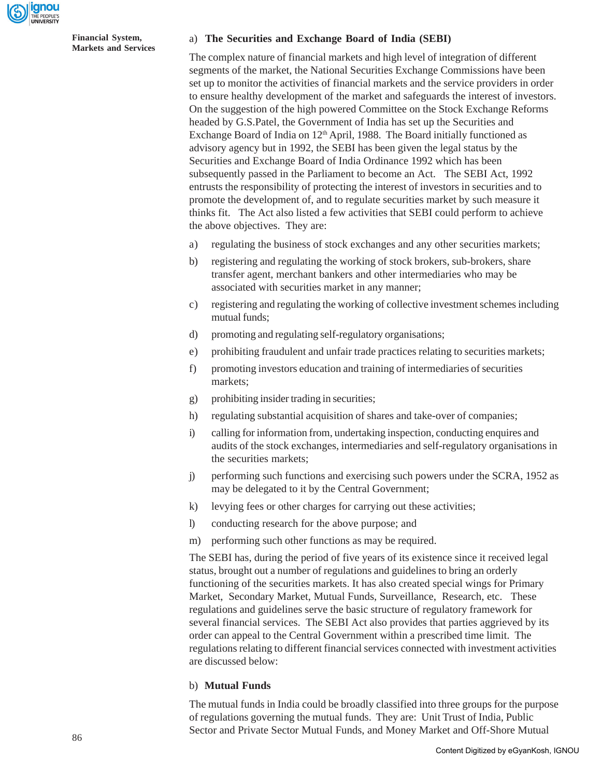

#### a) **The Securities and Exchange Board of India (SEBI)**

The complex nature of financial markets and high level of integration of different segments of the market, the National Securities Exchange Commissions have been set up to monitor the activities of financial markets and the service providers in order to ensure healthy development of the market and safeguards the interest of investors. On the suggestion of the high powered Committee on the Stock Exchange Reforms headed by G.S.Patel, the Government of India has set up the Securities and Exchange Board of India on 12<sup>th</sup> April, 1988. The Board initially functioned as advisory agency but in 1992, the SEBI has been given the legal status by the Securities and Exchange Board of India Ordinance 1992 which has been subsequently passed in the Parliament to become an Act. The SEBI Act, 1992 entrusts the responsibility of protecting the interest of investors in securities and to promote the development of, and to regulate securities market by such measure it thinks fit. The Act also listed a few activities that SEBI could perform to achieve the above objectives. They are:

- a) regulating the business of stock exchanges and any other securities markets;
- b) registering and regulating the working of stock brokers, sub-brokers, share transfer agent, merchant bankers and other intermediaries who may be associated with securities market in any manner;
- c) registering and regulating the working of collective investment schemes including mutual funds;
- d) promoting and regulating self-regulatory organisations;
- e) prohibiting fraudulent and unfair trade practices relating to securities markets;
- f) promoting investors education and training of intermediaries of securities markets;
- g) prohibiting insider trading in securities;
- h) regulating substantial acquisition of shares and take-over of companies;
- i) calling for information from, undertaking inspection, conducting enquires and audits of the stock exchanges, intermediaries and self-regulatory organisations in the securities markets;
- j) performing such functions and exercising such powers under the SCRA, 1952 as may be delegated to it by the Central Government;
- k) levying fees or other charges for carrying out these activities;
- l) conducting research for the above purpose; and
- m) performing such other functions as may be required.

The SEBI has, during the period of five years of its existence since it received legal status, brought out a number of regulations and guidelines to bring an orderly functioning of the securities markets. It has also created special wings for Primary Market, Secondary Market, Mutual Funds, Surveillance, Research, etc. These regulations and guidelines serve the basic structure of regulatory framework for several financial services. The SEBI Act also provides that parties aggrieved by its order can appeal to the Central Government within a prescribed time limit. The regulations relating to different financial services connected with investment activities are discussed below:

#### b) **Mutual Funds**

The mutual funds in India could be broadly classified into three groups for the purpose of regulations governing the mutual funds. They are: Unit Trust of India, Public Sector and Private Sector Mutual Funds, and Money Market and Off-Shore Mutual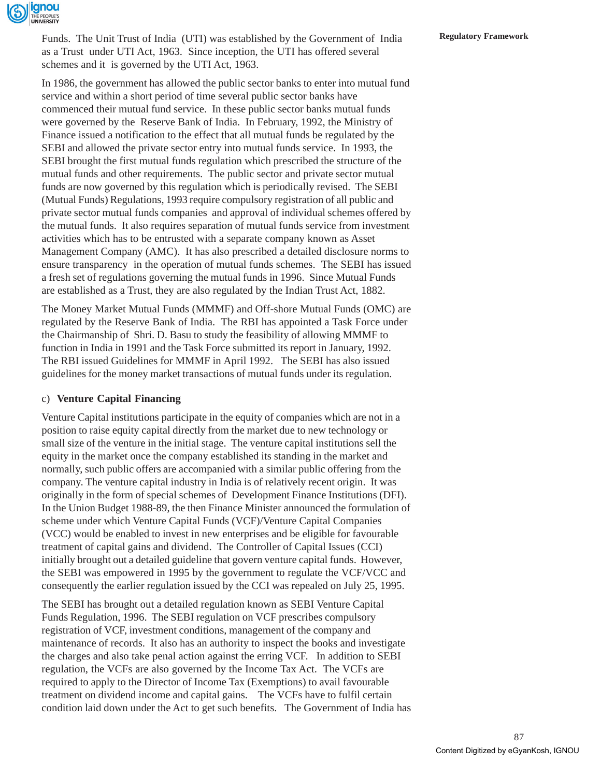

Funds. The Unit Trust of India (UTI) was established by the Government of India **Regulatory Framework** as a Trust under UTI Act, 1963. Since inception, the UTI has offered several schemes and it is governed by the UTI Act, 1963.

In 1986, the government has allowed the public sector banks to enter into mutual fund service and within a short period of time several public sector banks have commenced their mutual fund service. In these public sector banks mutual funds were governed by the Reserve Bank of India. In February, 1992, the Ministry of Finance issued a notification to the effect that all mutual funds be regulated by the SEBI and allowed the private sector entry into mutual funds service. In 1993, the SEBI brought the first mutual funds regulation which prescribed the structure of the mutual funds and other requirements. The public sector and private sector mutual funds are now governed by this regulation which is periodically revised. The SEBI (Mutual Funds) Regulations, 1993 require compulsory registration of all public and private sector mutual funds companies and approval of individual schemes offered by the mutual funds. It also requires separation of mutual funds service from investment activities which has to be entrusted with a separate company known as Asset Management Company (AMC). It has also prescribed a detailed disclosure norms to ensure transparency in the operation of mutual funds schemes. The SEBI has issued a fresh set of regulations governing the mutual funds in 1996. Since Mutual Funds are established as a Trust, they are also regulated by the Indian Trust Act, 1882.

The Money Market Mutual Funds (MMMF) and Off-shore Mutual Funds (OMC) are regulated by the Reserve Bank of India. The RBI has appointed a Task Force under the Chairmanship of Shri. D. Basu to study the feasibility of allowing MMMF to function in India in 1991 and the Task Force submitted its report in January, 1992. The RBI issued Guidelines for MMMF in April 1992. The SEBI has also issued guidelines for the money market transactions of mutual funds under its regulation.

#### c) **Venture Capital Financing**

Venture Capital institutions participate in the equity of companies which are not in a position to raise equity capital directly from the market due to new technology or small size of the venture in the initial stage. The venture capital institutions sell the equity in the market once the company established its standing in the market and normally, such public offers are accompanied with a similar public offering from the company. The venture capital industry in India is of relatively recent origin. It was originally in the form of special schemes of Development Finance Institutions (DFI). In the Union Budget 1988-89, the then Finance Minister announced the formulation of scheme under which Venture Capital Funds (VCF)/Venture Capital Companies (VCC) would be enabled to invest in new enterprises and be eligible for favourable treatment of capital gains and dividend. The Controller of Capital Issues (CCI) initially brought out a detailed guideline that govern venture capital funds. However, the SEBI was empowered in 1995 by the government to regulate the VCF/VCC and consequently the earlier regulation issued by the CCI was repealed on July 25, 1995.

The SEBI has brought out a detailed regulation known as SEBI Venture Capital Funds Regulation, 1996. The SEBI regulation on VCF prescribes compulsory registration of VCF, investment conditions, management of the company and maintenance of records. It also has an authority to inspect the books and investigate the charges and also take penal action against the erring VCF. In addition to SEBI regulation, the VCFs are also governed by the Income Tax Act. The VCFs are required to apply to the Director of Income Tax (Exemptions) to avail favourable treatment on dividend income and capital gains. The VCFs have to fulfil certain condition laid down under the Act to get such benefits. The Government of India has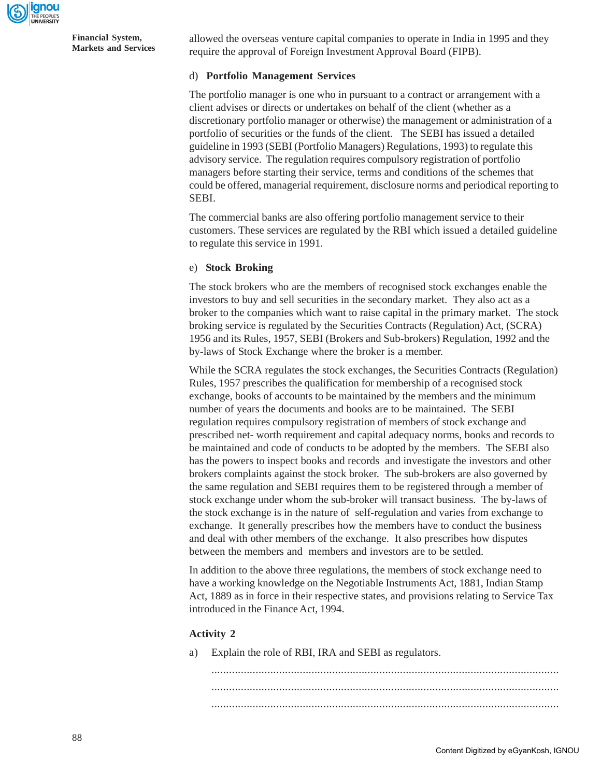

allowed the overseas venture capital companies to operate in India in 1995 and they require the approval of Foreign Investment Approval Board (FIPB).

#### d) **Portfolio Management Services**

The portfolio manager is one who in pursuant to a contract or arrangement with a client advises or directs or undertakes on behalf of the client (whether as a discretionary portfolio manager or otherwise) the management or administration of a portfolio of securities or the funds of the client. The SEBI has issued a detailed guideline in 1993 (SEBI (Portfolio Managers) Regulations, 1993) to regulate this advisory service. The regulation requires compulsory registration of portfolio managers before starting their service, terms and conditions of the schemes that could be offered, managerial requirement, disclosure norms and periodical reporting to SEBI.

The commercial banks are also offering portfolio management service to their customers. These services are regulated by the RBI which issued a detailed guideline to regulate this service in 1991.

#### e) **Stock Broking**

The stock brokers who are the members of recognised stock exchanges enable the investors to buy and sell securities in the secondary market. They also act as a broker to the companies which want to raise capital in the primary market. The stock broking service is regulated by the Securities Contracts (Regulation) Act, (SCRA) 1956 and its Rules, 1957, SEBI (Brokers and Sub-brokers) Regulation, 1992 and the by-laws of Stock Exchange where the broker is a member.

While the SCRA regulates the stock exchanges, the Securities Contracts (Regulation) Rules, 1957 prescribes the qualification for membership of a recognised stock exchange, books of accounts to be maintained by the members and the minimum number of years the documents and books are to be maintained. The SEBI regulation requires compulsory registration of members of stock exchange and prescribed net- worth requirement and capital adequacy norms, books and records to be maintained and code of conducts to be adopted by the members. The SEBI also has the powers to inspect books and records and investigate the investors and other brokers complaints against the stock broker. The sub-brokers are also governed by the same regulation and SEBI requires them to be registered through a member of stock exchange under whom the sub-broker will transact business. The by-laws of the stock exchange is in the nature of self-regulation and varies from exchange to exchange. It generally prescribes how the members have to conduct the business and deal with other members of the exchange. It also prescribes how disputes between the members and members and investors are to be settled.

In addition to the above three regulations, the members of stock exchange need to have a working knowledge on the Negotiable Instruments Act, 1881, Indian Stamp Act, 1889 as in force in their respective states, and provisions relating to Service Tax introduced in the Finance Act, 1994.

#### **Activity 2**

a) Explain the role of RBI, IRA and SEBI as regulators.

...................................................................................................................... ...................................................................................................................... ......................................................................................................................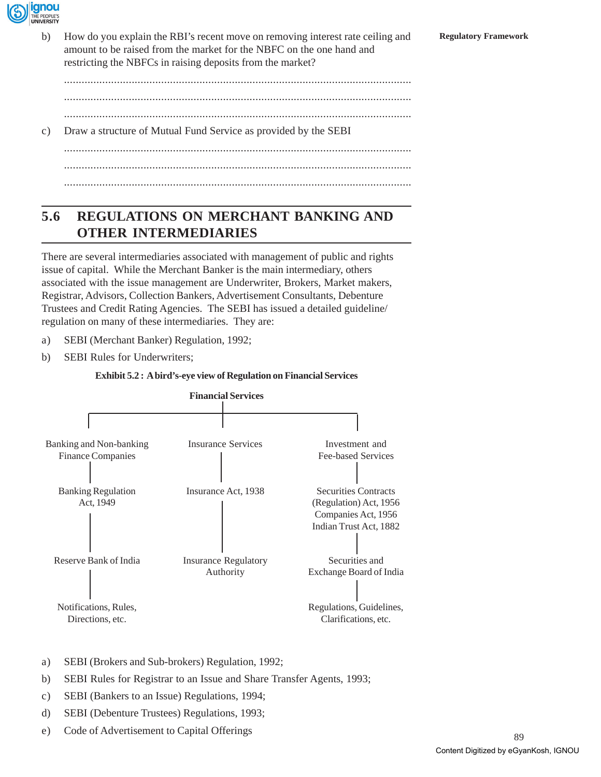

b) How do you explain the RBI's recent move on removing interest rate ceiling and **Regulatory Framework** amount to be raised from the market for the NBFC on the one hand and restricting the NBFCs in raising deposits from the market?

......................................................................................................................

......................................................................................................................

......................................................................................................................

c) Draw a structure of Mutual Fund Service as provided by the SEBI

...................................................................................................................... ...................................................................................................................... ......................................................................................................................

### **5.6 REGULATIONS ON MERCHANT BANKING AND OTHER INTERMEDIARIES**

There are several intermediaries associated with management of public and rights issue of capital. While the Merchant Banker is the main intermediary, others associated with the issue management are Underwriter, Brokers, Market makers, Registrar, Advisors, Collection Bankers, Advertisement Consultants, Debenture Trustees and Credit Rating Agencies. The SEBI has issued a detailed guideline/ regulation on many of these intermediaries. They are:

- a) SEBI (Merchant Banker) Regulation, 1992;
- b) SEBI Rules for Underwriters;

#### **Exhibit 5.2 : A bird's-eye view of Regulation on Financial Services**



- a) SEBI (Brokers and Sub-brokers) Regulation, 1992;
- b) SEBI Rules for Registrar to an Issue and Share Transfer Agents, 1993;
- c) SEBI (Bankers to an Issue) Regulations, 1994;
- d) SEBI (Debenture Trustees) Regulations, 1993;
- e) Code of Advertisement to Capital Offerings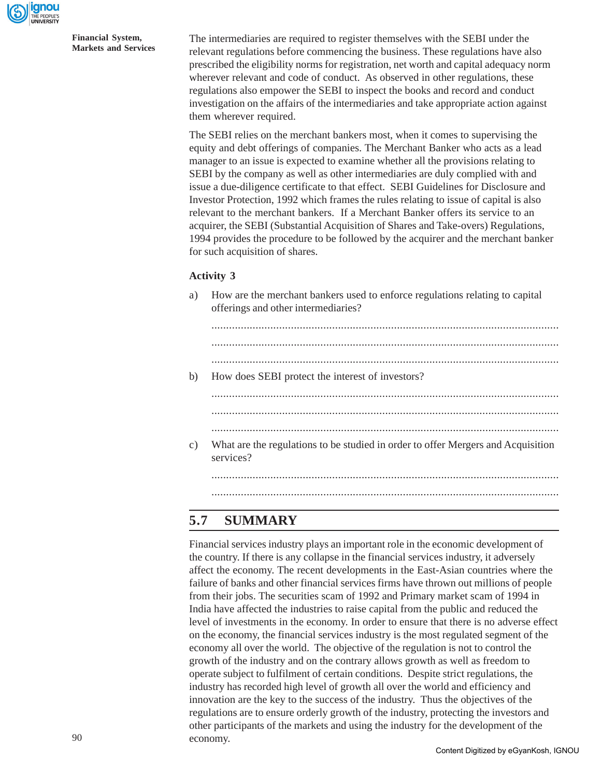

The intermediaries are required to register themselves with the SEBI under the relevant regulations before commencing the business. These regulations have also prescribed the eligibility norms for registration, net worth and capital adequacy norm wherever relevant and code of conduct. As observed in other regulations, these regulations also empower the SEBI to inspect the books and record and conduct investigation on the affairs of the intermediaries and take appropriate action against them wherever required.

The SEBI relies on the merchant bankers most, when it comes to supervising the equity and debt offerings of companies. The Merchant Banker who acts as a lead manager to an issue is expected to examine whether all the provisions relating to SEBI by the company as well as other intermediaries are duly complied with and issue a due-diligence certificate to that effect. SEBI Guidelines for Disclosure and Investor Protection, 1992 which frames the rules relating to issue of capital is also relevant to the merchant bankers. If a Merchant Banker offers its service to an acquirer, the SEBI (Substantial Acquisition of Shares and Take-overs) Regulations, 1994 provides the procedure to be followed by the acquirer and the merchant banker for such acquisition of shares.

#### **Activity 3**

a) How are the merchant bankers used to enforce regulations relating to capital offerings and other intermediaries?

| b) | How does SEBI protect the interest of investors?                                              |
|----|-----------------------------------------------------------------------------------------------|
|    |                                                                                               |
|    |                                                                                               |
|    |                                                                                               |
|    |                                                                                               |
| c) | What are the regulations to be studied in order to offer Mergers and Acquisition<br>services? |
|    |                                                                                               |
|    |                                                                                               |
|    |                                                                                               |

### **5.7 SUMMARY**

Financial services industry plays an important role in the economic development of the country. If there is any collapse in the financial services industry, it adversely affect the economy. The recent developments in the East-Asian countries where the failure of banks and other financial services firms have thrown out millions of people from their jobs. The securities scam of 1992 and Primary market scam of 1994 in India have affected the industries to raise capital from the public and reduced the level of investments in the economy. In order to ensure that there is no adverse effect on the economy, the financial services industry is the most regulated segment of the economy all over the world. The objective of the regulation is not to control the growth of the industry and on the contrary allows growth as well as freedom to operate subject to fulfilment of certain conditions. Despite strict regulations, the industry has recorded high level of growth all over the world and efficiency and innovation are the key to the success of the industry. Thus the objectives of the regulations are to ensure orderly growth of the industry, protecting the investors and other participants of the markets and using the industry for the development of the economy.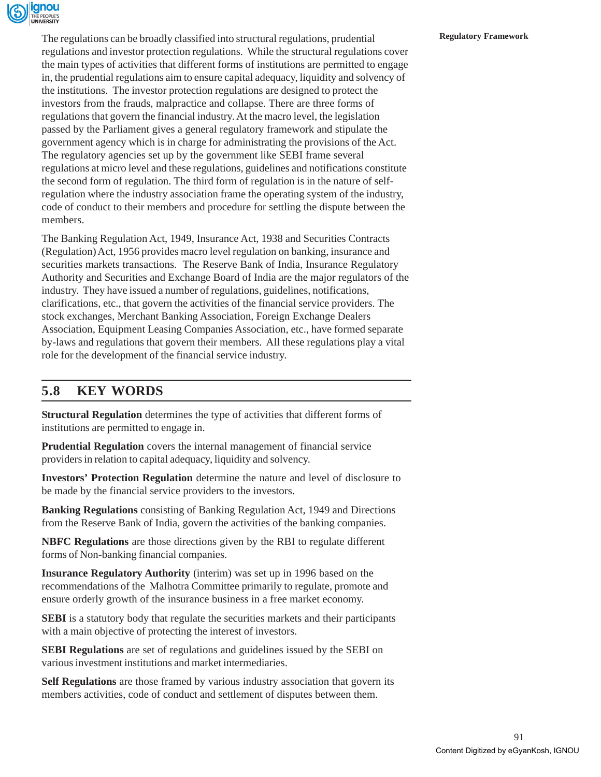

The regulations can be broadly classified into structural regulations, prudential **Regulatory Framework** regulations and investor protection regulations. While the structural regulations cover the main types of activities that different forms of institutions are permitted to engage in, the prudential regulations aim to ensure capital adequacy, liquidity and solvency of the institutions. The investor protection regulations are designed to protect the investors from the frauds, malpractice and collapse. There are three forms of regulations that govern the financial industry. At the macro level, the legislation passed by the Parliament gives a general regulatory framework and stipulate the government agency which is in charge for administrating the provisions of the Act. The regulatory agencies set up by the government like SEBI frame several regulations at micro level and these regulations, guidelines and notifications constitute the second form of regulation. The third form of regulation is in the nature of selfregulation where the industry association frame the operating system of the industry, code of conduct to their members and procedure for settling the dispute between the members.

The Banking Regulation Act, 1949, Insurance Act, 1938 and Securities Contracts (Regulation) Act, 1956 provides macro level regulation on banking, insurance and securities markets transactions. The Reserve Bank of India, Insurance Regulatory Authority and Securities and Exchange Board of India are the major regulators of the industry. They have issued a number of regulations, guidelines, notifications, clarifications, etc., that govern the activities of the financial service providers. The stock exchanges, Merchant Banking Association, Foreign Exchange Dealers Association, Equipment Leasing Companies Association, etc., have formed separate by-laws and regulations that govern their members. All these regulations play a vital role for the development of the financial service industry.

### **5.8 KEY WORDS**

**Structural Regulation** determines the type of activities that different forms of institutions are permitted to engage in.

**Prudential Regulation** covers the internal management of financial service providers in relation to capital adequacy, liquidity and solvency.

**Investors' Protection Regulation** determine the nature and level of disclosure to be made by the financial service providers to the investors.

**Banking Regulations** consisting of Banking Regulation Act, 1949 and Directions from the Reserve Bank of India, govern the activities of the banking companies.

**NBFC Regulations** are those directions given by the RBI to regulate different forms of Non-banking financial companies.

**Insurance Regulatory Authority** (interim) was set up in 1996 based on the recommendations of the Malhotra Committee primarily to regulate, promote and ensure orderly growth of the insurance business in a free market economy.

**SEBI** is a statutory body that regulate the securities markets and their participants with a main objective of protecting the interest of investors.

**SEBI Regulations** are set of regulations and guidelines issued by the SEBI on various investment institutions and market intermediaries.

**Self Regulations** are those framed by various industry association that govern its members activities, code of conduct and settlement of disputes between them.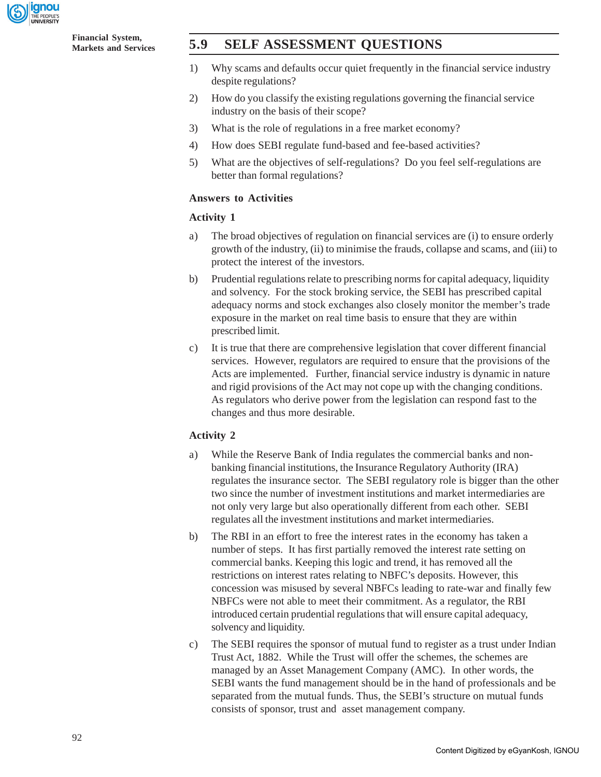

**Financial System,**

### **Markets and Services 5.9 SELF ASSESSMENT QUESTIONS**

- 1) Why scams and defaults occur quiet frequently in the financial service industry despite regulations?
- 2) How do you classify the existing regulations governing the financial service industry on the basis of their scope?
- 3) What is the role of regulations in a free market economy?
- 4) How does SEBI regulate fund-based and fee-based activities?
- 5) What are the objectives of self-regulations? Do you feel self-regulations are better than formal regulations?

#### **Answers to Activities**

#### **Activity 1**

- a) The broad objectives of regulation on financial services are (i) to ensure orderly growth of the industry, (ii) to minimise the frauds, collapse and scams, and (iii) to protect the interest of the investors.
- b) Prudential regulations relate to prescribing norms for capital adequacy, liquidity and solvency. For the stock broking service, the SEBI has prescribed capital adequacy norms and stock exchanges also closely monitor the member's trade exposure in the market on real time basis to ensure that they are within prescribed limit.
- c) It is true that there are comprehensive legislation that cover different financial services. However, regulators are required to ensure that the provisions of the Acts are implemented. Further, financial service industry is dynamic in nature and rigid provisions of the Act may not cope up with the changing conditions. As regulators who derive power from the legislation can respond fast to the changes and thus more desirable.

#### **Activity 2**

- a) While the Reserve Bank of India regulates the commercial banks and nonbanking financial institutions, the Insurance Regulatory Authority (IRA) regulates the insurance sector. The SEBI regulatory role is bigger than the other two since the number of investment institutions and market intermediaries are not only very large but also operationally different from each other. SEBI regulates all the investment institutions and market intermediaries.
- b) The RBI in an effort to free the interest rates in the economy has taken a number of steps. It has first partially removed the interest rate setting on commercial banks. Keeping this logic and trend, it has removed all the restrictions on interest rates relating to NBFC's deposits. However, this concession was misused by several NBFCs leading to rate-war and finally few NBFCs were not able to meet their commitment. As a regulator, the RBI introduced certain prudential regulations that will ensure capital adequacy, solvency and liquidity.
- c) The SEBI requires the sponsor of mutual fund to register as a trust under Indian Trust Act, 1882. While the Trust will offer the schemes, the schemes are managed by an Asset Management Company (AMC). In other words, the SEBI wants the fund management should be in the hand of professionals and be separated from the mutual funds. Thus, the SEBI's structure on mutual funds consists of sponsor, trust and asset management company.